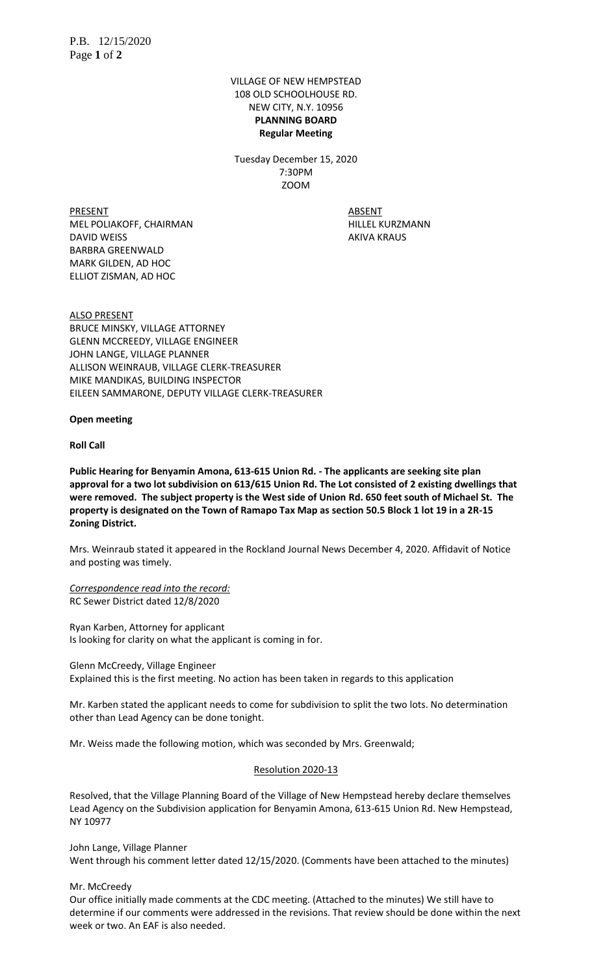VILLAGE OF NEW HEMPSTEAD 108 OLD SCHOOLHOUSE RD. NEW CITY, N.Y. 10956 **PLANNING BOARD Regular Meeting**

Tuesday December 15, 2020 7:30PM ZOOM

PRESENT ABSENT MEL POLIAKOFF, CHAIRMAN HILLEL KURZMANN DAVID WEISS **AKIVA KRAUS** BARBRA GREENWALD MARK GILDEN, AD HOC ELLIOT ZISMAN, AD HOC

ALSO PRESENT BRUCE MINSKY, VILLAGE ATTORNEY GLENN MCCREEDY, VILLAGE ENGINEER JOHN LANGE, VILLAGE PLANNER ALLISON WEINRAUB, VILLAGE CLERK-TREASURER MIKE MANDIKAS, BUILDING INSPECTOR EILEEN SAMMARONE, DEPUTY VILLAGE CLERK-TREASURER

**Open meeting**

**Roll Call**

**Public Hearing for Benyamin Amona, 613-615 Union Rd. - The applicants are seeking site plan approval for a two lot subdivision on 613/615 Union Rd. The Lot consisted of 2 existing dwellings that were removed. The subject property is the West side of Union Rd. 650 feet south of Michael St. The property is designated on the Town of Ramapo Tax Map as section 50.5 Block 1 lot 19 in a 2R-15 Zoning District.** 

Mrs. Weinraub stated it appeared in the Rockland Journal News December 4, 2020. Affidavit of Notice and posting was timely.

*Correspondence read into the record:* RC Sewer District dated 12/8/2020

Ryan Karben, Attorney for applicant Is looking for clarity on what the applicant is coming in for.

Glenn McCreedy, Village Engineer Explained this is the first meeting. No action has been taken in regards to this application

Mr. Karben stated the applicant needs to come for subdivision to split the two lots. No determination other than Lead Agency can be done tonight.

Mr. Weiss made the following motion, which was seconded by Mrs. Greenwald;

## Resolution 2020-13

Resolved, that the Village Planning Board of the Village of New Hempstead hereby declare themselves Lead Agency on the Subdivision application for Benyamin Amona, 613-615 Union Rd. New Hempstead, NY 10977

John Lange, Village Planner Went through his comment letter dated 12/15/2020. (Comments have been attached to the minutes)

Mr. McCreedy

Our office initially made comments at the CDC meeting. (Attached to the minutes) We still have to determine if our comments were addressed in the revisions. That review should be done within the next week or two. An EAF is also needed.